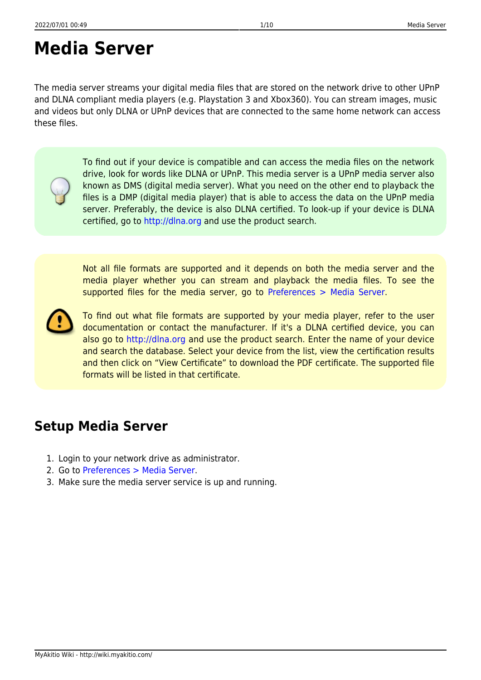# **Media Server**

The media server streams your digital media files that are stored on the network drive to other UPnP and DLNA compliant media players (e.g. Playstation 3 and Xbox360). You can stream images, music and videos but only DLNA or UPnP devices that are connected to the same home network can access these files.

> To find out if your device is compatible and can access the media files on the network drive, look for words like DLNA or UPnP. This media server is a UPnP media server also known as DMS (digital media server). What you need on the other end to playback the files is a DMP (digital media player) that is able to access the data on the UPnP media server. Preferably, the device is also DLNA certified. To look-up if your device is DLNA certified, go to<http://dlna.org> and use the product search.

> Not all file formats are supported and it depends on both the media server and the media player whether you can stream and playback the media files. To see the supported files for the media server, go to [Preferences > Media Server](http://wiki.myakitio.com/services_media_server#supported_media_formats).



To find out what file formats are supported by your media player, refer to the user documentation or contact the manufacturer. If it's a DLNA certified device, you can also go to <http://dlna.org> and use the product search. Enter the name of your device and search the database. Select your device from the list, view the certification results and then click on "View Certificate" to download the PDF certificate. The supported file formats will be listed in that certificate.

#### **Setup Media Server**

- 1. Login to your network drive as administrator.
- 2. Go to [Preferences > Media Server](http://wiki.myakitio.com/services_media_server).
- 3. Make sure the media server service is up and running.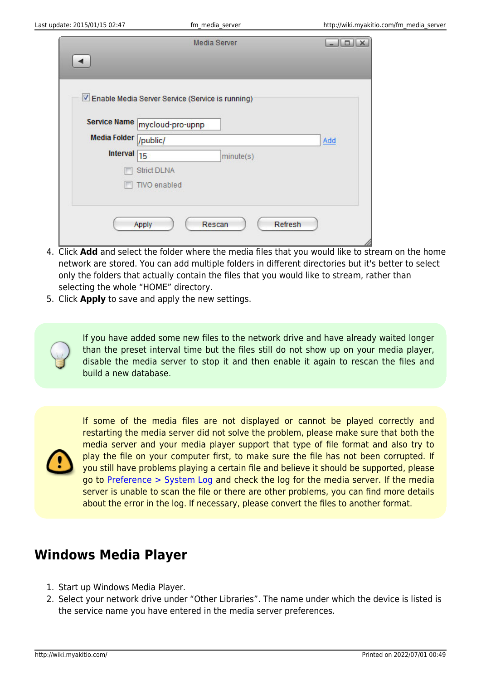|                       | Media Server                                     | نقالت   |
|-----------------------|--------------------------------------------------|---------|
|                       |                                                  |         |
|                       |                                                  |         |
|                       | Enable Media Server Service (Service is running) |         |
|                       | Service Name mycloud-pro-upnp                    |         |
| Media Folder /public/ |                                                  | Add     |
| Interval 15           | minute(s)                                        |         |
|                       | <b>Strict DLNA</b>                               |         |
|                       | <b>TIVO</b> enabled                              |         |
|                       |                                                  |         |
|                       | Rescan<br>Apply                                  | Refresh |
|                       |                                                  |         |

- 4. Click **Add** and select the folder where the media files that you would like to stream on the home network are stored. You can add multiple folders in different directories but it's better to select only the folders that actually contain the files that you would like to stream, rather than selecting the whole "HOME" directory.
- 5. Click **Apply** to save and apply the new settings.

If you have added some new files to the network drive and have already waited longer than the preset interval time but the files still do not show up on your media player, disable the media server to stop it and then enable it again to rescan the files and build a new database.

If some of the media files are not displayed or cannot be played correctly and restarting the media server did not solve the problem, please make sure that both the media server and your media player support that type of file format and also try to play the file on your computer first, to make sure the file has not been corrupted. If you still have problems playing a certain file and believe it should be supported, please go to [Preference > System Log](http://wiki.myakitio.com/system_information_system_log) and check the log for the media server. If the media server is unable to scan the file or there are other problems, you can find more details about the error in the log. If necessary, please convert the files to another format.

### **Windows Media Player**

- 1. Start up Windows Media Player.
- 2. Select your network drive under "Other Libraries". The name under which the device is listed is the service name you have entered in the media server preferences.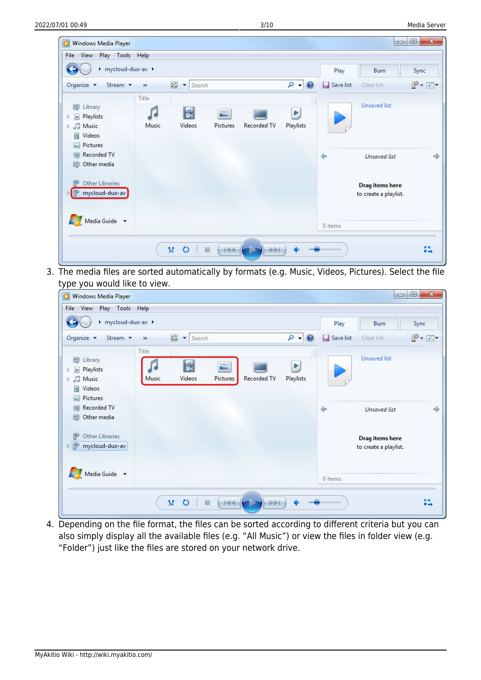| Windows Media Player<br>Play Tools Help<br>View<br>File                                                    |                     |                                      |                        |                    |                 |                   | $\qquad \qquad \Box$                            | $\mathbf{x}$<br>$\qquad \qquad \Box$ |
|------------------------------------------------------------------------------------------------------------|---------------------|--------------------------------------|------------------------|--------------------|-----------------|-------------------|-------------------------------------------------|--------------------------------------|
| ▶ mycloud-duo-av ▶                                                                                         |                     |                                      |                        |                    |                 | Play              | Burn                                            | Sync                                 |
| Organize $\blacktriangledown$<br>Stream <b>v</b>                                                           | $\gg$               | $\frac{1}{n-1}$<br>Search<br>$\vert$ |                        |                    | $\circ$<br>0    | <b>Save list</b>  | Clear list                                      | $P - T$                              |
| <b>图</b> Library<br>Playlists<br>$\blacktriangleright$<br>Þ<br>JJ Music<br>$\triangleright$<br>Videos<br>× | Title<br>ſ<br>Music | N<br><b>Videos</b>                   | - 1<br><b>Pictures</b> | <b>Recorded TV</b> | Þ,<br>Playlists |                   | <b>Unsaved list</b>                             |                                      |
| <b>Pictures</b><br>$\blacksquare$<br><b>Recorded TV</b><br>$\qquad \qquad \Box$<br>Other media<br>剧        |                     |                                      |                        |                    |                 | $\Leftrightarrow$ | <b>Unsaved list</b>                             | $\Rightarrow$                        |
| <b>Other Libraries</b><br>mycloud-duo-av<br>▷■                                                             |                     |                                      |                        |                    |                 |                   | <b>Drag items here</b><br>to create a playlist. |                                      |
| Media Guide $\rightarrow$                                                                                  |                     |                                      |                        |                    |                 | 0 items           |                                                 |                                      |
|                                                                                                            |                     | 艾<br>$\circ$                         | 画<br>$-144$            | <b>PPI</b>         |                 |                   |                                                 | ■■<br>$\blacksquare$                 |

3. The media files are sorted automatically by formats (e.g. Music, Videos, Pictures). Select the file type you would like to view.

| Mindows Media Player                                                                   |                |                                                   |               |                    |                               |                   | $\Box$                                          | $\qquad \qquad \Box$<br>$\mathbf{x}$          |
|----------------------------------------------------------------------------------------|----------------|---------------------------------------------------|---------------|--------------------|-------------------------------|-------------------|-------------------------------------------------|-----------------------------------------------|
| Play Tools Help<br>File View                                                           |                |                                                   |               |                    |                               |                   |                                                 |                                               |
| ▶ mycloud-duo-av ▶                                                                     |                |                                                   |               |                    |                               | Play              | Burn                                            | Sync                                          |
| Organize $\blacktriangledown$<br>Stream v                                              | $\gg$          | $\frac{1}{n+1}$<br>Search<br>$\blacktriangledown$ |               |                    | $  \circ  $<br>$\circledcirc$ | Save list         | Clear list                                      | $P$ $\rightarrow$ $\rightarrow$ $\rightarrow$ |
| <b>图 Library</b><br>Playlists<br>Þ<br>$\triangleright$ $\sqrt{d}$ Music<br>Videos<br>× | Title<br>Music | E<br>Videos                                       | S<br>Pictures | <b>Recorded TV</b> | Þ<br>Playlists                |                   | <b>Unsaved list</b>                             |                                               |
| Pictures<br>Recorded TV<br><b>B</b> Other media                                        |                |                                                   |               |                    |                               | $\Leftrightarrow$ | <b>Unsaved list</b>                             | $\Rightarrow$                                 |
| 郿<br><b>Other Libraries</b><br>D P<br>mycloud-duo-av                                   |                |                                                   |               |                    |                               |                   | <b>Drag items here</b><br>to create a playlist. |                                               |
| Media Guide v                                                                          |                |                                                   |               |                    |                               | 0 items           |                                                 |                                               |
|                                                                                        |                | ¥<br>$\circ$                                      | $-144$        | <b>bibli</b>       |                               |                   |                                                 | ш<br>$\blacksquare$                           |

4. Depending on the file format, the files can be sorted according to different criteria but you can also simply display all the available files (e.g. "All Music") or view the files in folder view (e.g. "Folder") just like the files are stored on your network drive.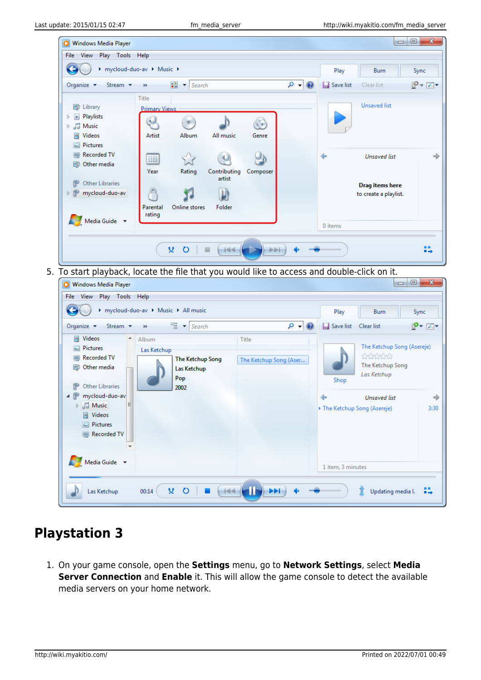

5. To start playback, locate the file that you would like to access and double-click on it.

| Stream v<br>Organize $\blacktriangledown$                                                                                                                                                                                                         |        | > mycloud-duo-av > Music > All music<br>$\frac{1}{2}$ v Search<br>$\gg$       | $0 - 0$                         | Play<br>Save list                              | <b>Burn</b><br>Clear list                                                                                                      | Sync<br>$P - 7$       |
|---------------------------------------------------------------------------------------------------------------------------------------------------------------------------------------------------------------------------------------------------|--------|-------------------------------------------------------------------------------|---------------------------------|------------------------------------------------|--------------------------------------------------------------------------------------------------------------------------------|-----------------------|
| Videos<br>Ħ<br><b>Pictures</b><br><b>Recorded TV</b><br>$\Box$<br>Other media<br>團<br>徽<br><b>Other Libraries</b><br>▲ ⊪<br>mycloud-duo-av<br>$\triangleright$ $\sqrt{d}$ Music<br>Videos<br>圛<br>$\Box$ Pictures<br>Recorded TV<br>Media Guide v | ▲<br>Ξ | Album<br>Las Ketchup<br><b>The Ketchup Song</b><br>Las Ketchup<br>Pop<br>2002 | Title<br>The Ketchup Song (Aser | Shop<br>$\Leftrightarrow$<br>1 item, 3 minutes | The Ketchup Song (Asereje)<br>thinking<br>The Ketchup Song<br>Las Ketchup<br><b>Unsaved list</b><br>The Ketchup Song (Asereje) | $\Rightarrow$<br>3:30 |

## **Playstation 3**

1. On your game console, open the **Settings** menu, go to **Network Settings**, select **Media Server Connection** and **Enable** it. This will allow the game console to detect the available media servers on your home network.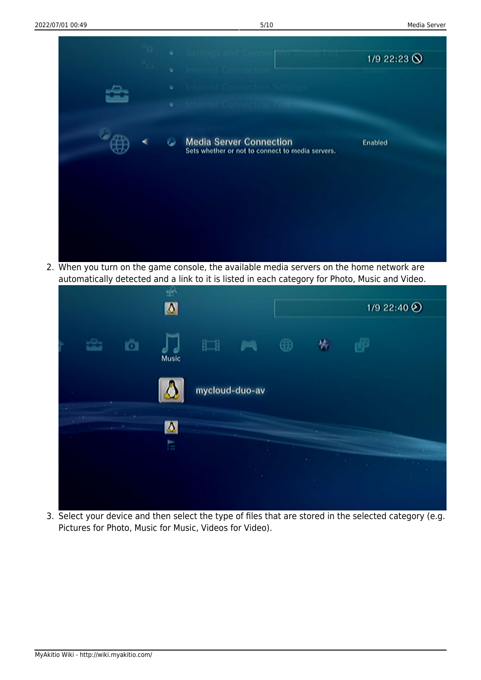

2. When you turn on the game console, the available media servers on the home network are automatically detected and a link to it is listed in each category for Photo, Music and Video.



3. Select your device and then select the type of files that are stored in the selected category (e.g. Pictures for Photo, Music for Music, Videos for Video).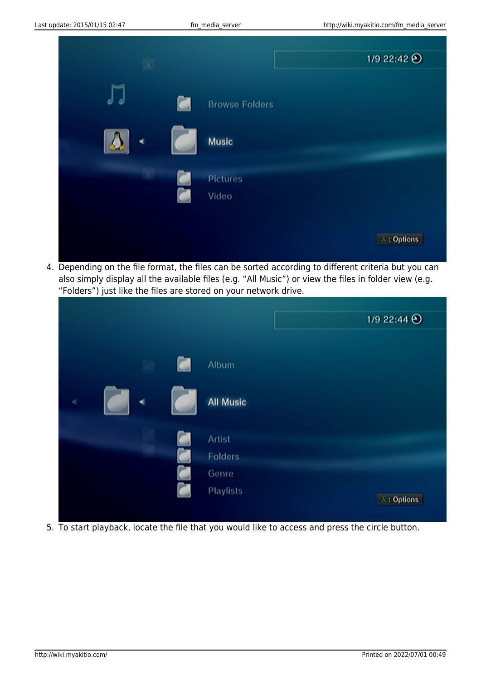

4. Depending on the file format, the files can be sorted according to different criteria but you can also simply display all the available files (e.g. "All Music") or view the files in folder view (e.g. "Folders") just like the files are stored on your network drive.

|   |   |        |                  |  | 1/9 22:44 $\odot$ |
|---|---|--------|------------------|--|-------------------|
|   |   |        |                  |  |                   |
|   |   |        |                  |  |                   |
|   |   | $\Box$ | Album            |  |                   |
|   |   |        |                  |  |                   |
| é | ◀ |        | <b>All Music</b> |  |                   |
|   |   |        |                  |  |                   |
|   |   |        |                  |  |                   |
|   |   |        | Artist           |  |                   |
|   |   |        | Folders          |  |                   |
|   |   |        | Genre            |  |                   |
|   |   |        | <b>Playlists</b> |  |                   |
|   |   |        |                  |  | △: Options        |
|   |   |        |                  |  |                   |

5. To start playback, locate the file that you would like to access and press the circle button.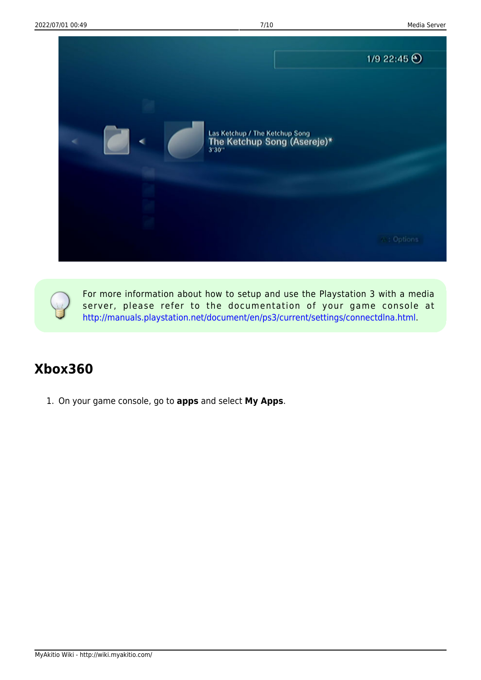

For more information about how to setup and use the Playstation 3 with a media server, please refer to the documentation of your game console at [http://manuals.playstation.net/document/en/ps3/current/settings/connectdlna.html.](http://manuals.playstation.net/document/en/ps3/current/settings/connectdlna.html)

### **Xbox360**

1. On your game console, go to **apps** and select **My Apps**.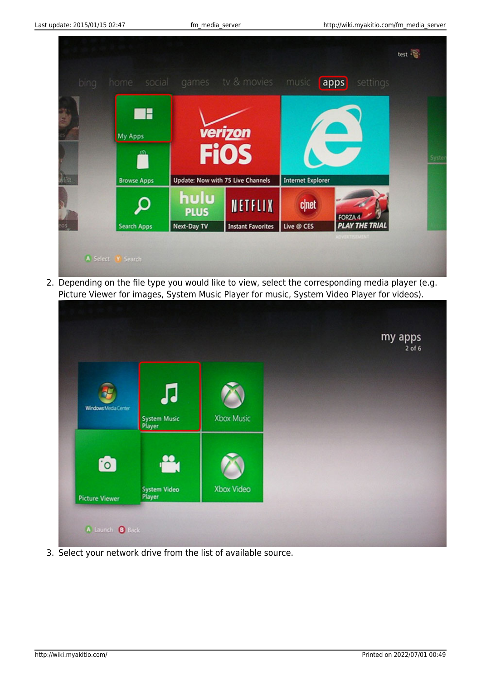

2. Depending on the file type you would like to view, select the corresponding media player (e.g. Picture Viewer for images, System Music Player for music, System Video Player for videos).



3. Select your network drive from the list of available source.